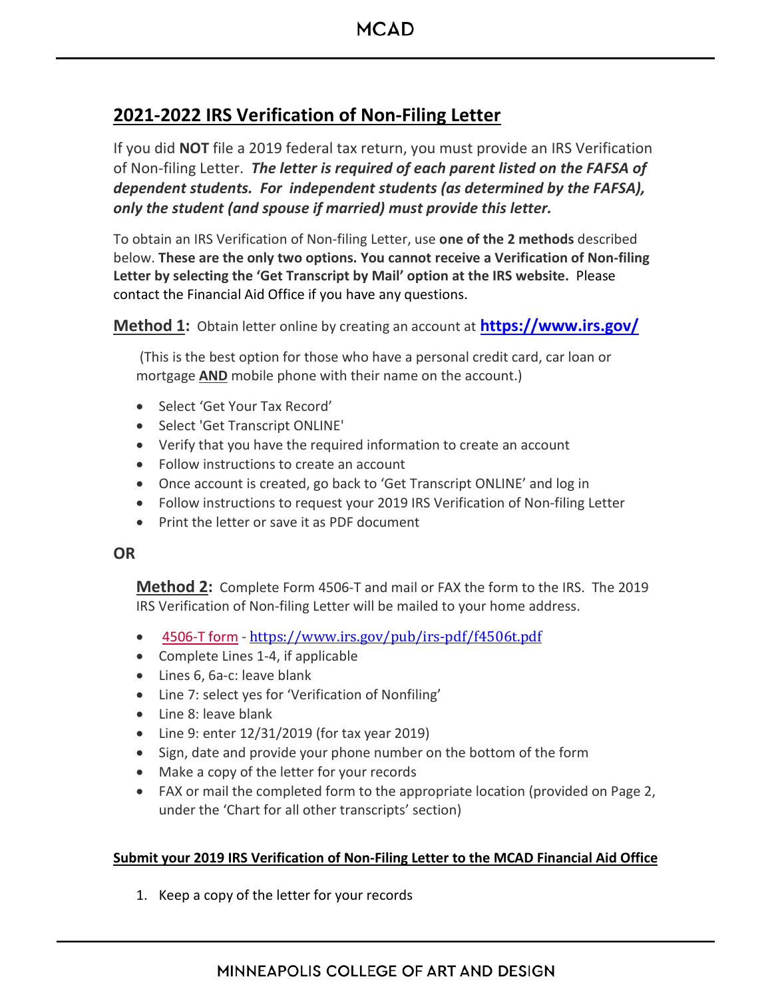## **2021-2022 IRS Verification of Non-Filing Letter**

If you did **NOT** file a 2019 federal tax return, you must provide an IRS Verification of Non-filing Letter. *The letter is required of each parent listed on the FAFSA of dependent students. For independent students (as determined by the FAFSA), only the student (and spouse if married) must provide this letter.*

To obtain an IRS Verification of Non-filing Letter, use **one of the 2 methods** described below. **These are the only two options. You cannot receive a Verification of Non-filing Letter by selecting the 'Get Transcript by Mail' option at the IRS website.** Please contact the Financial Aid Office if you have any questions.

**Method 1:** Obtain letter online by creating an account at **<https://www.irs.gov/>**

(This is the best option for those who have a personal credit card, car loan or mortgage **AND** mobile phone with their name on the account.)

- Select 'Get Your Tax Record'
- Select 'Get Transcript ONLINE'
- Verify that you have the required information to create an account
- Follow instructions to create an account
- Once account is created, go back to 'Get Transcript ONLINE' and log in
- Follow instructions to request your 2019 IRS Verification of Non-filing Letter
- Print the letter or save it as PDF document

## **OR**

**Method 2:** Complete Form 4506-T and mail or FAX the form to the IRS. The 2019 IRS Verification of Non-filing Letter will be mailed to your home address.

- [4506-T form](https://www.irs.gov/pub/irs-pdf/f4506t.pdf) <https://www.irs.gov/pub/irs-pdf/f4506t.pdf>
- Complete Lines 1-4, if applicable
- Lines 6, 6a-c: leave blank
- Line 7: select yes for 'Verification of Nonfiling'
- Line 8: leave blank
- Line 9: enter 12/31/2019 (for tax year 2019)
- Sign, date and provide your phone number on the bottom of the form
- Make a copy of the letter for your records
- FAX or mail the completed form to the appropriate location (provided on Page 2, under the 'Chart for all other transcripts' section)

## **Submit your 2019 IRS Verification of Non-Filing Letter to the MCAD Financial Aid Office**

1. Keep a copy of the letter for your records